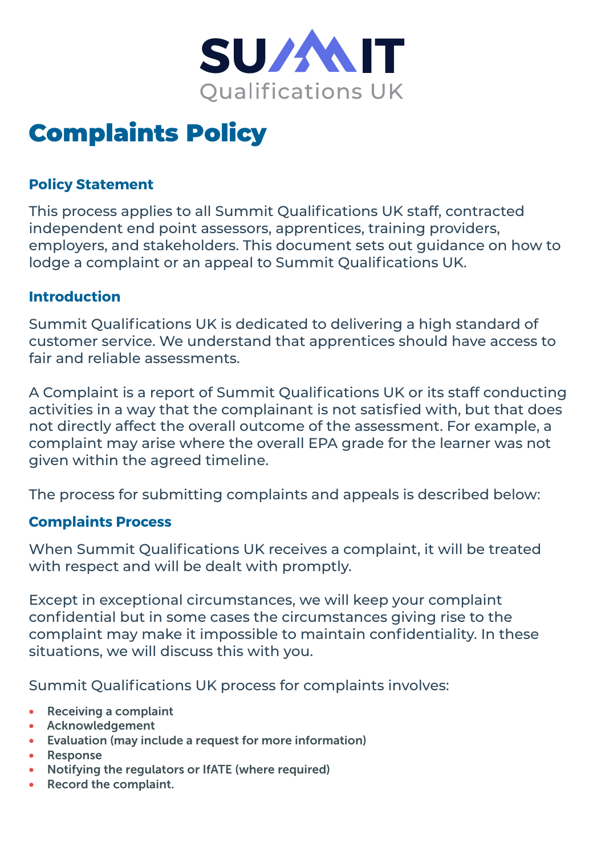

# Complaints Policy

# **Policy Statement**

This process applies to all Summit Qualifications UK staff, contracted independent end point assessors, apprentices, training providers, employers, and stakeholders. This document sets out guidance on how to lodge a complaint or an appeal to Summit Qualifications UK.

## **Introduction**

Summit Qualifications UK is dedicated to delivering a high standard of customer service. We understand that apprentices should have access to fair and reliable assessments.

A Complaint is a report of Summit Qualifications UK or its staff conducting activities in a way that the complainant is not satisfied with, but that does not directly affect the overall outcome of the assessment. For example, a complaint may arise where the overall EPA grade for the learner was not given within the agreed timeline.

The process for submitting complaints and appeals is described below:

## **Complaints Process**

When Summit Qualifications UK receives a complaint, it will be treated with respect and will be dealt with promptly.

Except in exceptional circumstances, we will keep your complaint confidential but in some cases the circumstances giving rise to the complaint may make it impossible to maintain confidentiality. In these situations, we will discuss this with you.

Summit Qualifications UK process for complaints involves:

- • Receiving a complaint
- • Acknowledgement
- • Evaluation (may include a request for more information)
- • Response
- Notifying the regulators or IfATE (where required)
- • Record the complaint.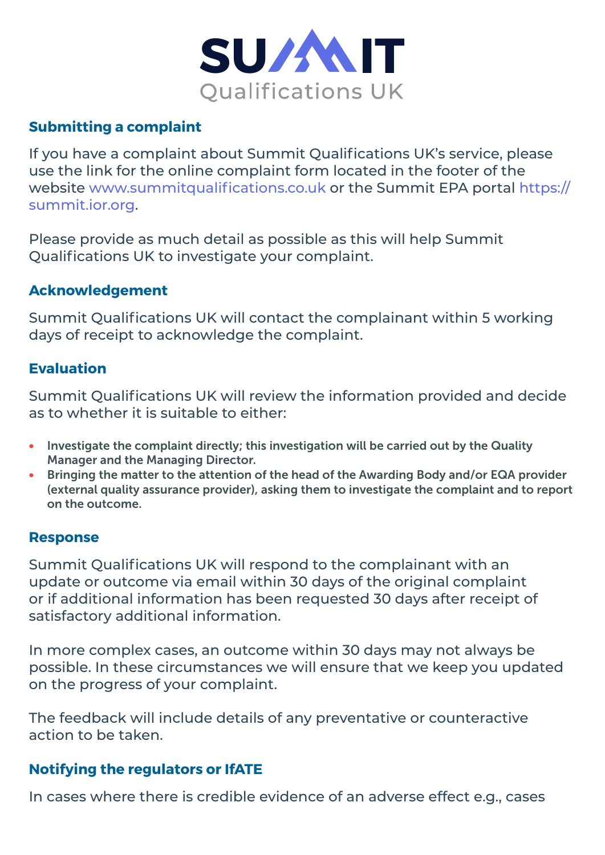

# **Submitting a complaint**

If you have a complaint about Summit Qualifications UK's service, please use the link for the online complaint form located in the footer of the website <www.summitqualifications.co.uk>or the Summit EPA portal [https://](https://summit.ior.org) [summit.ior.org.](https://summit.ior.org)

Please provide as much detail as possible as this will help Summit Qualifications UK to investigate your complaint.

## **Acknowledgement**

Summit Qualifications UK will contact the complainant within 5 working days of receipt to acknowledge the complaint.

## **Evaluation**

Summit Qualifications UK will review the information provided and decide as to whether it is suitable to either:

- Investigate the complaint directly; this investigation will be carried out by the Quality Manager and the Managing Director.
- Bringing the matter to the attention of the head of the Awarding Body and/or EQA provider (external quality assurance provider), asking them to investigate the complaint and to report on the outcome.

## **Response**

Summit Qualifications UK will respond to the complainant with an update or outcome via email within 30 days of the original complaint or if additional information has been requested 30 days after receipt of satisfactory additional information.

In more complex cases, an outcome within 30 days may not always be possible. In these circumstances we will ensure that we keep you updated on the progress of your complaint.

The feedback will include details of any preventative or counteractive action to be taken.

## **Notifying the regulators or IfATE**

In cases where there is credible evidence of an adverse effect e.g., cases